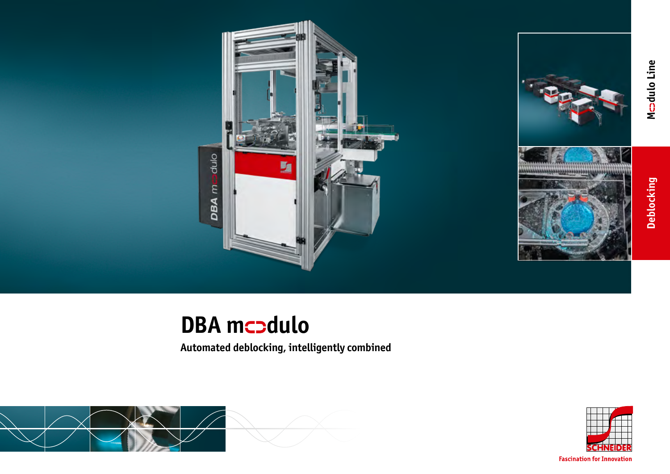



# **DBA** mcodulo

**Automated deblocking, intelligently combined**





**Fascination for Innovation**